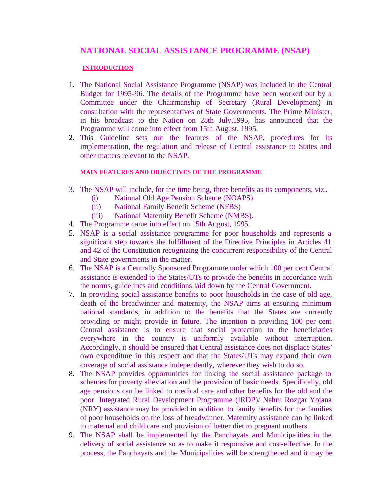# **NATIONAL SOCIAL ASSISTANCE PROGRAMME (NSAP)**

#### **INTRODUCTION**

- 1. The National Social Assistance Programme (NSAP) was included in the Central Budget for 1995-96. The details of the Programme have been worked out by a Committee under the Chairmanship of Secretary (Rural Development) in consultation with the representatives of State Governments. The Prime Minister, in his broadcast to the Nation on 28th July,1995, has announced that the Programme will come into effect from 15th August, 1995.
- 2. This Guideline sets out the features of the NSAP, procedures for its implementation, the regulation and release of Central assistance to States and other matters relevant to the NSAP.

#### **MAIN FEATURES AND OBJECTIVES OF THE PROGRAMME**

- 3. The NSAP will include, for the time being, three benefits as its components, viz.,
	- (i) National Old Age Pension Scheme (NOAPS)
	- (ii) National Family Benefit Scheme (NFBS)
	- (iii) National Maternity Benefit Scheme (NMBS).
- 4. The Programme came into effect on 15th August, 1995.
- 5. NSAP is a social assistance programme for poor households and represents a significant step towards the fulfillment of the Directive Principles in Articles 41 and 42 of the Constitution recognizing the concurrent responsibility of the Central and State governments in the matter.
- 6. The NSAP is a Centrally Sponsored Programme under which 100 per cent Central assistance is extended to the States/UTs to provide the benefits in accordance with the norms, guidelines and conditions laid down by the Central Government.
- 7. In providing social assistance benefits to poor households in the case of old age, death of the breadwinner and maternity, the NSAP aims at ensuring minimum national standards, in addition to the benefits that the States are currently providing or might provide in future. The intention in providing 100 per cent Central assistance is to ensure that social protection to the beneficiaries everywhere in the country is uniformly available without interruption. Accordingly, it should be ensured that Central assistance does not displace States' own expenditure in this respect and that the States/UTs may expand their own coverage of social assistance independently, wherever they wish to do so.
- 8. The NSAP provides opportunities for linking the social assistance package to schemes for poverty alleviation and the provision of basic needs. Specifically, old age pensions can be linked to medical care and other benefits for the old and the poor. Integrated Rural Development Programme (IRDP)/ Nehru Rozgar Yojana (NRY) assistance may be provided in addition to family benefits for the families of poor households on the loss of breadwinner. Maternity assistance can be linked to maternal and child care and provision of better diet to pregnant mothers.
- 9. The NSAP shall be implemented by the Panchayats and Municipalities in the delivery of social assistance so as to make it responsive and cost-effective. In the process, the Panchayats and the Municipalities will be strengthened and it may be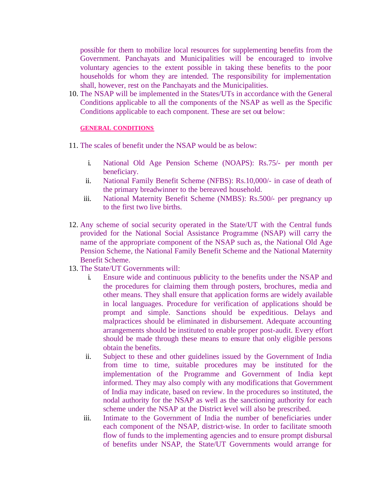possible for them to mobilize local resources for supplementing benefits from the Government. Panchayats and Municipalities will be encouraged to involve voluntary agencies to the extent possible in taking these benefits to the poor households for whom they are intended. The responsibility for implementation shall, however, rest on the Panchayats and the Municipalities.

10. The NSAP will be implemented in the States/UTs in accordance with the General Conditions applicable to all the components of the NSAP as well as the Specific Conditions applicable to each component. These are set out below:

#### **GENERAL CONDITIONS**

- 11. The scales of benefit under the NSAP would be as below:
	- i. National Old Age Pension Scheme (NOAPS): Rs.75/- per month per beneficiary.
	- ii. National Family Benefit Scheme (NFBS): Rs.10,000/- in case of death of the primary breadwinner to the bereaved household.
	- iii. National Maternity Benefit Scheme (NMBS): Rs.500/- per pregnancy up to the first two live births.
- 12. Any scheme of social security operated in the State/UT with the Central funds provided for the National Social Assistance Programme (NSAP) will carry the name of the appropriate component of the NSAP such as, the National Old Age Pension Scheme, the National Family Benefit Scheme and the National Maternity Benefit Scheme.
- 13. The State/UT Governments will:
	- i. Ensure wide and continuous publicity to the benefits under the NSAP and the procedures for claiming them through posters, brochures, media and other means. They shall ensure that application forms are widely available in local languages. Procedure for verification of applications should be prompt and simple. Sanctions should be expeditious. Delays and malpractices should be eliminated in disbursement. Adequate accounting arrangements should be instituted to enable proper post-audit. Every effort should be made through these means to ensure that only eligible persons obtain the benefits.
	- ii. Subject to these and other guidelines issued by the Government of India from time to time, suitable procedures may be instituted for the implementation of the Programme and Government of India kept informed. They may also comply with any modifications that Government of India may indicate, based on review. In the procedures so instituted, the nodal authority for the NSAP as well as the sanctioning authority for each scheme under the NSAP at the District level will also be prescribed.
	- iii. Intimate to the Government of India the number of beneficiaries under each component of the NSAP, district-wise. In order to facilitate smooth flow of funds to the implementing agencies and to ensure prompt disbursal of benefits under NSAP, the State/UT Governments would arrange for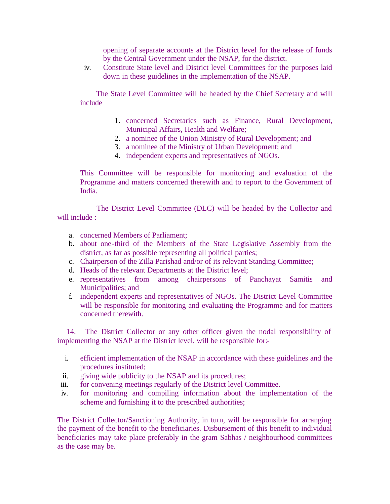opening of separate accounts at the District level for the release of funds by the Central Government under the NSAP, for the district.

iv. Constitute State level and District level Committees for the purposes laid down in these guidelines in the implementation of the NSAP.

 The State Level Committee will be headed by the Chief Secretary and will include

- 1. concerned Secretaries such as Finance, Rural Development, Municipal Affairs, Health and Welfare;
- 2. a nominee of the Union Ministry of Rural Development; and
- 3. a nominee of the Ministry of Urban Development; and
- 4. independent experts and representatives of NGOs.

This Committee will be responsible for monitoring and evaluation of the Programme and matters concerned therewith and to report to the Government of India.

 The District Level Committee (DLC) will be headed by the Collector and will include :

- a. concerned Members of Parliament;
- b. about one-third of the Members of the State Legislative Assembly from the district, as far as possible representing all political parties;
- c. Chairperson of the Zilla Parishad and/or of its relevant Standing Committee;
- d. Heads of the relevant Departments at the District level;
- e. representatives from among chairpersons of Panchayat Samitis and Municipalities; and
- f. independent experts and representatives of NGOs. The District Level Committee will be responsible for monitoring and evaluating the Programme and for matters concerned therewith.

 14. The District Collector or any other officer given the nodal responsibility of implementing the NSAP at the District level, will be responsible for:-

- i. efficient implementation of the NSAP in accordance with these guidelines and the procedures instituted;
- ii. giving wide publicity to the NSAP and its procedures;
- iii. for convening meetings regularly of the District level Committee.
- iv. for monitoring and compiling information about the implementation of the scheme and furnishing it to the prescribed authorities;

The District Collector/Sanctioning Authority, in turn, will be responsible for arranging the payment of the benefit to the beneficiaries. Disbursement of this benefit to individual beneficiaries may take place preferably in the gram Sabhas / neighbourhood committees as the case may be.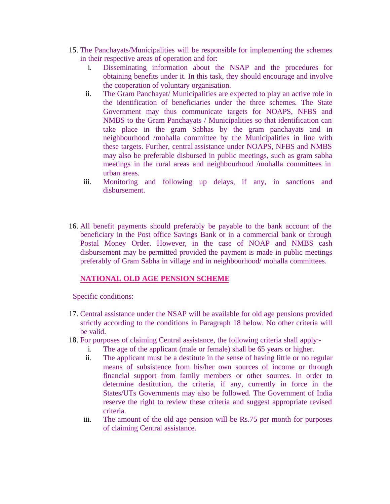- 15. The Panchayats/Municipalities will be responsible for implementing the schemes in their respective areas of operation and for:
	- i. Disseminating information about the NSAP and the procedures for obtaining benefits under it. In this task, they should encourage and involve the cooperation of voluntary organisation.
	- ii. The Gram Panchayat/ Municipalities are expected to play an active role in the identification of beneficiaries under the three schemes. The State Government may thus communicate targets for NOAPS, NFBS and NMBS to the Gram Panchayats / Municipalities so that identification can take place in the gram Sabhas by the gram panchayats and in neighbourhood /mohalla committee by the Municipalities in line with these targets. Further, central assistance under NOAPS, NFBS and NMBS may also be preferable disbursed in public meetings, such as gram sabha meetings in the rural areas and neighbourhood /mohalla committees in urban areas.
	- iii. Monitoring and following up delays, if any, in sanctions and disbursement.
- 16. All benefit payments should preferably be payable to the bank account of the beneficiary in the Post office Savings Bank or in a commercial bank or through Postal Money Order. However, in the case of NOAP and NMBS cash disbursement may be permitted provided the payment is made in public meetings preferably of Gram Sabha in village and in neighbourhood/ mohalla committees.

# **NATIONAL OLD AGE PENSION SCHEME**

Specific conditions:

- 17. Central assistance under the NSAP will be available for old age pensions provided strictly according to the conditions in Paragraph 18 below. No other criteria will be valid.
- 18. For purposes of claiming Central assistance, the following criteria shall apply:
	- i. The age of the applicant (male or female) shall be 65 years or higher.
	- ii. The applicant must be a destitute in the sense of having little or no regular means of subsistence from his/her own sources of income or through financial support from family members or other sources. In order to determine destitution, the criteria, if any, currently in force in the States/UTs Governments may also be followed. The Government of India reserve the right to review these criteria and suggest appropriate revised criteria.
	- iii. The amount of the old age pension will be Rs.75 per month for purposes of claiming Central assistance.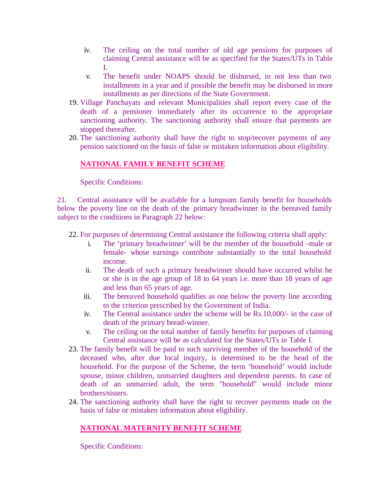- iv. The ceiling on the total number of old age pensions for purposes of claiming Central assistance will be as specified for the States/UTs in Table I.
- v. The benefit under NOAPS should be disbursed, in not less than two installments in a year and if possible the benefit may be disbursed in more installments as per directions of the State Government.
- 19. Village Panchayats and relevant Municipalities shall report every case of the death of a pensioner immediately after its occurrence to the appropriate sanctioning authority. The sanctioning authority shall ensure that payments are stopped thereafter.
- 20. The sanctioning authority shall have the right to stop/recover payments of any pension sanctioned on the basis of false or mistaken information about eligibility.

# **NATIONAL FAMILY BENEFIT SCHEME**

Specific Conditions:

21. Central assistance will be available for a lumpsum family benefit for households below the poverty line on the death of the primary breadwinner in the bereaved family subject to the conditions in Paragraph 22 below:

22. For purposes of determining Central assistance the following criteria shall apply:

- i. The 'primary breadwinner' will be the member of the household -male or female- whose earnings contribute substantially to the total household income.
- ii. The death of such a primary breadwinner should have occurred whilst he or she is in the age group of 18 to 64 years i.e. more than 18 years of age and less than 65 years of age.
- iii. The bereaved household qualifies as one below the poverty line according to the criterion prescribed by the Government of India.
- iv. The Central assistance under the scheme will be Rs.10,000/- in the case of death of the primary bread-winner.
- v. The ceiling on the total number of family benefits for purposes of claiming Central assistance will be as calculated for the States/UTs in Table I.
- 23. The family benefit will be paid to such surviving member of the household of the deceased who, after due local inquiry, is determined to be the head of the household. For the purpose of the Scheme, the term 'household' would include spouse, minor children, unmarried daughters and dependent parents. In case of death of an unmarried adult, the term "household" would include minor brothers/sisters.
- 24. The sanctioning authority shall have the right to recover payments made on the basis of false or mistaken information about eligibility.

## **NATIONAL MATERNITY BENEFIT SCHEME**

Specific Conditions: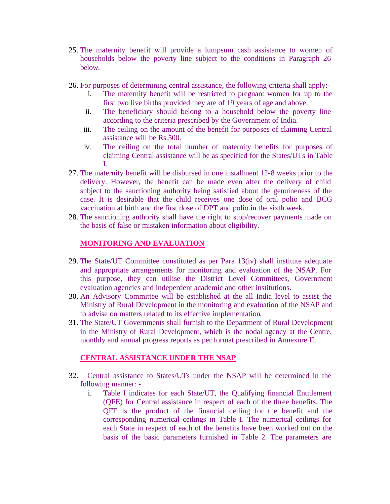- 25. The maternity benefit will provide a lumpsum cash assistance to women of households below the poverty line subject to the conditions in Paragraph 26 below.
- 26. For purposes of determining central assistance, the following criteria shall apply:
	- i. The maternity benefit will be restricted to pregnant women for up to the first two live births provided they are of 19 years of age and above.
	- ii. The beneficiary should belong to a household below the poverty line according to the criteria prescribed by the Government of India.
	- iii. The ceiling on the amount of the benefit for purposes of claiming Central assistance will be Rs.500.
	- iv. The ceiling on the total number of maternity benefits for purposes of claiming Central assistance will be as specified for the States/UTs in Table I.
- 27. The maternity benefit will be disbursed in one installment 12-8 weeks prior to the delivery. However, the benefit can be made even after the delivery of child subject to the sanctioning authority being satisfied about the genuineness of the case. It is desirable that the child receives one dose of oral polio and BCG vaccination at birth and the first dose of DPT and polio in the sixth week.
- 28. The sanctioning authority shall have the right to stop/recover payments made on the basis of false or mistaken information about eligibility.

# **MONITORING AND EVALUATION**

- 29. The State/UT Committee constituted as per Para 13(iv) shall institute adequate and appropriate arrangements for monitoring and evaluation of the NSAP. For this purpose, they can utilise the District Level Committees, Government evaluation agencies and independent academic and other institutions.
- 30. An Advisory Committee will be established at the all India level to assist the Ministry of Rural Development in the monitoring and evaluation of the NSAP and to advise on matters related to its effective implementation.
- 31. The State/UT Governments shall furnish to the Department of Rural Development in the Ministry of Rural Development, which is the nodal agency at the Centre, monthly and annual progress reports as per format prescribed in Annexure II.

### **CENTRAL ASSISTANCE UNDER THE NSAP**

- 32. Central assistance to States/UTs under the NSAP will be determined in the following manner:
	- i. Table I indicates for each State/UT, the Qualifying financial Entitlement (QFE) for Central assistance in respect of each of the three benefits. The QFE is the product of the financial ceiling for the benefit and the corresponding numerical ceilings in Table I. The numerical ceilings for each State in respect of each of the benefits have been worked out on the basis of the basic parameters furnished in Table 2. The parameters are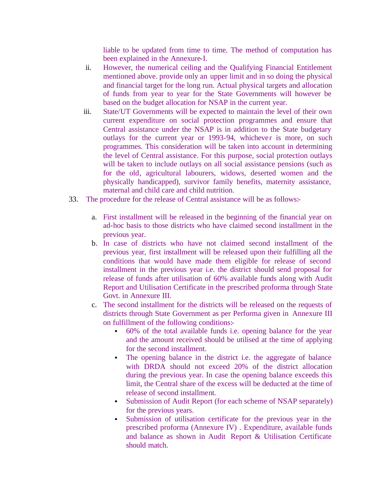liable to be updated from time to time. The method of computation has been explained in the Annexure-I.

- ii. However, the numerical ceiling and the Qualifying Financial Entitlement mentioned above. provide only an upper limit and in so doing the physical and financial target for the long run. Actual physical targets and allocation of funds from year to year for the State Governments will however be based on the budget allocation for NSAP in the current year.
- iii. State/UT Governments will be expected to maintain the level of their own current expenditure on social protection programmes and ensure that Central assistance under the NSAP is in addition to the State budgetary outlays for the current year or 1993-94, whichever is more, on such programmes. This consideration will be taken into account in determining the level of Central assistance. For this purpose, social protection outlays will be taken to include outlays on all social assistance pensions (such as for the old, agricultural labourers, widows, deserted women and the physically handicapped), survivor family benefits, maternity assistance, maternal and child care and child nutrition.
- 33. The procedure for the release of Central assistance will be as follows:
	- a. First installment will be released in the beginning of the financial year on ad-hoc basis to those districts who have claimed second installment in the previous year.
	- b. In case of districts who have not claimed second installment of the previous year, first installment will be released upon their fulfilling all the conditions that would have made them eligible for release of second installment in the previous year i.e. the district should send proposal for release of funds after utilisation of 60% available funds along with Audit Report and Utilisation Certificate in the prescribed proforma through State Govt. in Annexure III.
	- c. The second installment for the districts will be released on the requests of districts through State Government as per Performa given in Annexure III on fulfillment of the following conditions:
		- ß 60% of the total available funds i.e. opening balance for the year and the amount received should be utilised at the time of applying for the second installment.
		- ß The opening balance in the district i.e. the aggregate of balance with DRDA should not exceed 20% of the district allocation during the previous year. In case the opening balance exceeds this limit, the Central share of the excess will be deducted at the time of release of second installment.
		- ß Submission of Audit Report (for each scheme of NSAP separately) for the previous years.
		- ß Submission of utilisation certificate for the previous year in the prescribed proforma (Annexure IV) . Expenditure, available funds and balance as shown in Audit Report & Utilisation Certificate should match.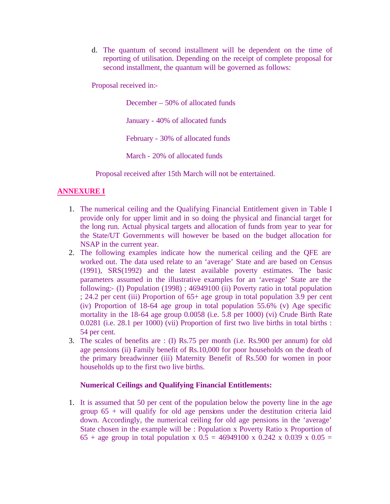d. The quantum of second installment will be dependent on the time of reporting of utilisation. Depending on the receipt of complete proposal for second installment, the quantum will be governed as follows:

Proposal received in:-

December – 50% of allocated funds

January - 40% of allocated funds

February - 30% of allocated funds

March - 20% of allocated funds

Proposal received after 15th March will not be entertained.

## **ANNEXURE I**

- 1. The numerical ceiling and the Qualifying Financial Entitlement given in Table I provide only for upper limit and in so doing the physical and financial target for the long run. Actual physical targets and allocation of funds from year to year for the State/UT Governments will however be based on the budget allocation for NSAP in the current year.
- 2. The following examples indicate how the numerical ceiling and the QFE are worked out. The data used relate to an 'average' State and are based on Census (1991), SRS(1992) and the latest available poverty estimates. The basic parameters assumed in the illustrative examples for an 'average' State are the following:- (I) Population (1998) ; 46949100 (ii) Poverty ratio in total population ; 24.2 per cent (iii) Proportion of 65+ age group in total population 3.9 per cent (iv) Proportion of 18-64 age group in total population 55.6% (v) Age specific mortality in the 18-64 age group 0.0058 (i.e. 5.8 per 1000) (vi) Crude Birth Rate 0.0281 (i.e. 28.1 per 1000) (vii) Proportion of first two live births in total births : 54 per cent.
- 3. The scales of benefits are : (I) Rs.75 per month (i.e. Rs.900 per annum) for old age pensions (ii) Family benefit of Rs.10,000 for poor households on the death of the primary breadwinner (iii) Maternity Benefit of Rs.500 for women in poor households up to the first two live births.

### **Numerical Ceilings and Qualifying Financial Entitlements:**

1. It is assumed that 50 per cent of the population below the poverty line in the age group 65 + will qualify for old age pensions under the destitution criteria laid down. Accordingly, the numerical ceiling for old age pensions in the 'average' State chosen in the example will be : Population x Poverty Ratio x Proportion of 65 + age group in total population x  $0.5 = 46949100 \times 0.242 \times 0.039 \times 0.05 =$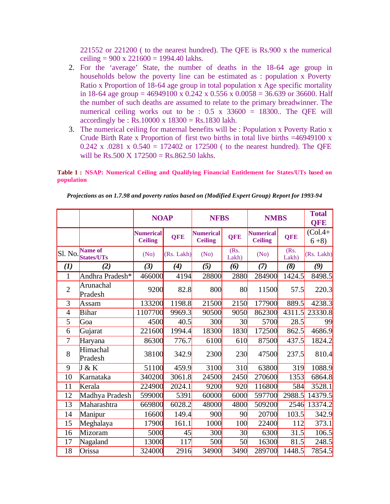221552 or 221200 ( to the nearest hundred). The QFE is Rs.900 x the numerical ceiling =  $900 \times 221600 = 1994.40$  lakhs.

- 2. For the 'average' State, the number of deaths in the 18-64 age group in households below the poverty line can be estimated as : population x Poverty Ratio x Proportion of 18-64 age group in total population x Age specific mortality in 18-64 age group = 46949100 x 0.242 x 0.556 x 0.0058 = 36.639 or 36600. Half the number of such deaths are assumed to relate to the primary breadwinner. The numerical ceiling works out to be :  $0.5 \times 33600 = 18300$ . The QFE will accordingly be : Rs.10000 x  $18300 =$  Rs.1830 lakh.
- 3. The numerical ceiling for maternal benefits will be : Population x Poverty Ratio x Crude Birth Rate x Proportion of first two births in total live births  $=46949100 \text{ x}$ 0.242 x .0281 x  $0.540 = 172402$  or 172500 ( to the nearest hundred). The QFE will be Rs.500 X  $172500 =$  Rs.862.50 lakhs.

**Table 1 : NSAP: Numerical Ceiling and Qualifying Financial Entitlement for States/UTs based on population**

|                   |                              | <b>NOAP</b>                        |                     |                                    | <b>NFBS</b>     |                                    | <b>NMBS</b>   |                    |
|-------------------|------------------------------|------------------------------------|---------------------|------------------------------------|-----------------|------------------------------------|---------------|--------------------|
|                   |                              | <b>Numerical</b><br><b>Ceiling</b> | <b>QFE</b>          | <b>Numerical</b><br><b>Ceiling</b> | <b>QFE</b>      | <b>Numerical</b><br><b>Ceiling</b> | <b>QFE</b>    | $(Col.4+$<br>$6+8$ |
| Sl. No.           | Name of<br><b>States/UTs</b> | (No)                               | (Rs. Lakh)          | (No)                               | (Rs)<br>Lakh)   | (No)                               | (Rs.<br>Lakh) | (Rs. Lakh)         |
| $\left( l\right)$ | (2)                          | (3)                                | $\boldsymbol{r}(4)$ | (5)                                | (6)             | (7)                                | (8)           | (9)                |
| $\mathbf{1}$      | Andhra Pradesh*              | 466000                             | 4194                | 28800                              | 2880            | 284900                             | 1424.5        | 8498.5             |
| $\overline{2}$    | Arunachal<br>Pradesh         | 9200                               | 82.8                | 800                                | 80              | 11500                              | 57.5          | 220.3              |
| 3                 | Assam                        | 133200                             | 1198.8              | 21500                              | 2150            | 177900                             | 889.5         | 4238.3             |
| $\overline{4}$    | Bihar                        | 1107700                            | 9969.3              | 90500                              | 9050            | 862300                             | 4311.5        | 23330.8            |
| 5                 | Goa                          | 4500                               | 40.5                | 300                                | 30              | 5700                               | 28.5          | 99                 |
| 6                 | Gujarat                      | 221600                             | 1994.4              | 18300                              | 1830            | 172500                             | 862.5         | 4686.9             |
| 7                 | Haryana                      | 86300                              | 776.7               | 6100                               | 610             | 87500                              | 437.5         | 1824.2             |
| 8                 | Himachal<br>Pradesh          | 38100                              | 342.9               | 2300                               | 230             | 47500                              | 237.5         | 810.4              |
| 9                 | J & K                        | 51100                              | 459.9               | 3100                               | 310             | 63800                              | 319           | 1088.9             |
| 10                | Karnataka                    | 340200                             | 3061.8              | 24500                              | 2450            | 270600                             | 1353          | 6864.8             |
| 11                | Kerala                       | 224900                             | 2024.1              | 9200                               | 920             | 116800                             | 584           | 3528.1             |
| 12                | Madhya Pradesh               | 599000                             | 5391                | 60000                              | 6000            | 597700                             | 2988.5        | 14379.5            |
| 13                | Maharashtra                  | 669800                             | 6028.2              | 48000                              | 4800            | 509200                             | 2546          | 13374.2            |
| 14                | Manipur                      | 16600                              | 149.4               | 900                                | 90              | 20700                              | 103.5         | 342.9              |
| 15                | Meghalaya                    | 17900                              | 161.1               | 1000                               | 100             | 22400                              | 112           | 373.1              |
| 16                | Mizoram                      | 5000                               | 45                  | 300                                | 30 <sub>l</sub> | 6300                               | 31.5          | 106.5              |
| 17                | Nagaland                     | 13000                              | 117                 | 500                                | 50              | 16300                              | 81.5          | 248.5              |
| 18                | Orissa                       | 324000                             | 2916                | 34900                              | 3490            | 289700                             | 1448.5        | 7854.5             |

*Projections as on 1.7.98 and poverty ratios based on (Modified Expert Group) Report for 1993-94*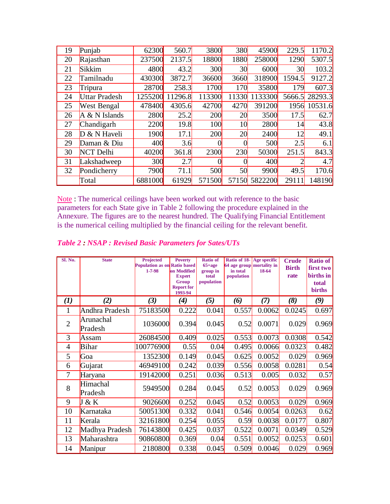| 19 | Punjab               | 62300           | 560.7   | 3800   | <b>380</b>      | 45900   | 229.5           | 1170.2  |
|----|----------------------|-----------------|---------|--------|-----------------|---------|-----------------|---------|
| 20 | Rajasthan            | 237500          | 2137.5  | 18800  | 1880            | 258000  | 1290            | 5307.5  |
| 21 | Sikkim               | 4800            | 43.2    | 300    | 30 <sup>l</sup> | 6000    | 30 <sup>l</sup> | 103.2   |
| 22 | Tamilnadu            | 430300          | 3872.7  | 36600  | 3660            | 318900  | 1594.5          | 9127.2  |
| 23 | Tripura              | 28700           | 258.3   | 1700   | 170             | 35800   | 179             | 607.3   |
| 24 | <b>Uttar Pradesh</b> | 1255200         | 11296.8 | 113300 | 11330           | 1133300 | 5666.5          | 28293.3 |
| 25 | <b>West Bengal</b>   | 478400          | 4305.6  | 42700  | 4270            | 391200  | 1956            | 10531.6 |
| 26 | $A & N$ Islands      | 2800            | 25.2    | 200    | 20              | 3500    | 17.5            | 62.7    |
| 27 | Chandigarh           | 2200            | 19.8    | 100    | 10 <sup>l</sup> | 2800    | 14              | 43.8    |
| 28 | $D & N$ Haveli       | 1900            | 17.1    | 200    | 20              | 2400    | 12              | 49.1    |
| 29 | Daman & Diu          | 400             | 3.6     | 0      |                 | 500     | 2.5             | 6.1     |
| 30 | NCT Delhi            | 40200           | 361.8   | 2300   | 230             | 50300   | 251.5           | 843.3   |
| 31 | Lakshadweep          | 30 <sub>0</sub> | 2.7     | 0      |                 | 400     | $\overline{2}$  | 4.7     |
| 32 | Pondicherry          | 7900            | 71.1    | 500    | 50              | 9900    | 49.5            | 170.6   |
|    | Total                | 6881000         | 61929   | 571500 | 57150           | 5822200 | 2911            | 148190  |

Note : The numerical ceilings have been worked out with reference to the basic parameters for each State give in Table 2 following the procedure explained in the Annexure. The figures are to the nearest hundred. The Qualifying Financial Entitlement is the numerical ceiling multiplied by the financial ceiling for the relevant benefit.

| SI. No.        | <b>State</b>         | Projected<br><b>Population as on Ratio based</b><br>$1 - 7 - 98$ | <b>Poverty</b><br><b>on Modified</b><br><b>Expert</b><br>Group<br><b>Report for</b><br>1993-94 | <b>Ratio of</b><br>$65+age$<br>group in<br>total<br>population | Ratio of 18-<br>64 age group mortality in<br>in total<br>population | Age specific<br>18-64 | <b>Crude</b><br><b>Birth</b><br>rate | Ratio of<br>first two<br>births in<br>total<br><b>births</b> |
|----------------|----------------------|------------------------------------------------------------------|------------------------------------------------------------------------------------------------|----------------------------------------------------------------|---------------------------------------------------------------------|-----------------------|--------------------------------------|--------------------------------------------------------------|
| $\mathbf{U}$   | (2)                  | (3)                                                              | $\boldsymbol{r}(4)$                                                                            | (5)                                                            | (6)                                                                 | (7)                   | (8)                                  | (9)                                                          |
| 1              | Andhra Pradesh       | 75183500                                                         | 0.222                                                                                          | 0.041                                                          | 0.557                                                               | 0.0062                | 0.0245                               | 0.697                                                        |
| $\overline{2}$ | Arunachal<br>Pradesh | 1036000                                                          | 0.394                                                                                          | 0.045                                                          | 0.52                                                                | 0.0071                | 0.029                                | 0.969                                                        |
| 3              | Assam                | 26084500                                                         | 0.409                                                                                          | 0.025                                                          | 0.553                                                               | 0.0073                | 0.0308                               | 0.542                                                        |
| $\overline{4}$ | Bihar                | 100776900                                                        | 0.55                                                                                           | 0.04                                                           | 0.495                                                               | 0.0066                | 0.0323                               | 0.482                                                        |
| 5              | Goa                  | 1352300                                                          | 0.149                                                                                          | 0.045                                                          | 0.625                                                               | 0.0052                | 0.029                                | 0.969                                                        |
| 6              | Gujarat              | 46949100                                                         | 0.242                                                                                          | 0.039                                                          | 0.556                                                               | 0.0058                | 0.0281                               | 0.54                                                         |
| 7              | Haryana              | 19142000                                                         | 0.251                                                                                          | 0.036                                                          | 0.513                                                               | 0.005                 | 0.032                                | 0.57                                                         |
| 8              | Himachal<br>Pradesh  | 5949500                                                          | 0.284                                                                                          | 0.045                                                          | 0.52                                                                | 0.0053                | 0.029                                | 0.969                                                        |
| 9              | J & K                | 9026600                                                          | 0.252                                                                                          | 0.045                                                          | 0.52                                                                | 0.0053                | 0.029                                | 0.969                                                        |
| 10             | Karnataka            | 50051300                                                         | 0.332                                                                                          | 0.041                                                          | 0.546                                                               | 0.0054                | 0.0263                               | 0.62                                                         |
| 11             | Kerala               | 32161800                                                         | 0.254                                                                                          | 0.055                                                          | 0.59                                                                | 0.0038                | 0.0177                               | 0.807                                                        |
| 12             | Madhya Pradesh       | 76143800                                                         | 0.425                                                                                          | 0.037                                                          | 0.522                                                               | 0.0071                | 0.0349                               | 0.529                                                        |
| 13             | Maharashtra          | 90860800                                                         | 0.369                                                                                          | 0.04                                                           | 0.551                                                               | 0.0052                | 0.0253                               | 0.601                                                        |
| 14             | Manipur              | 2180800                                                          | 0.338                                                                                          | 0.045                                                          | 0.509                                                               | 0.0046                | 0.029                                | 0.969                                                        |

*Table 2 : NSAP : Revised Basic Parameters for Sates/UTs*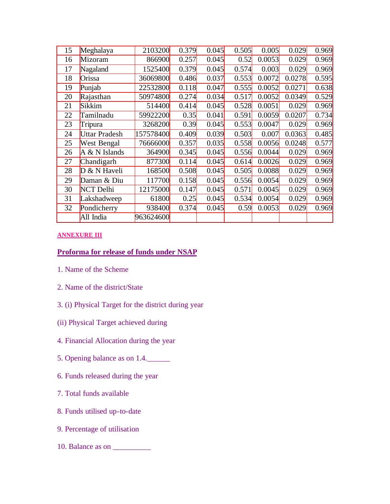| 15 | Meghalaya            | 2103200   | 0.379 | 0.045 | 0.505 | 0.005  | 0.029  | 0.969 |
|----|----------------------|-----------|-------|-------|-------|--------|--------|-------|
| 16 | Mizoram              | 866900    | 0.257 | 0.045 | 0.52  | 0.0053 | 0.029  | 0.969 |
| 17 | Nagaland             | 1525400   | 0.379 | 0.045 | 0.574 | 0.003  | 0.029  | 0.969 |
| 18 | Orissa               | 36069800  | 0.486 | 0.037 | 0.553 | 0.0072 | 0.0278 | 0.595 |
| 19 | Punjab               | 22532800  | 0.118 | 0.047 | 0.555 | 0.0052 | 0.0271 | 0.638 |
| 20 | Rajasthan            | 50974800  | 0.274 | 0.034 | 0.517 | 0.0052 | 0.0349 | 0.529 |
| 21 | Sikkim               | 514400    | 0.414 | 0.045 | 0.528 | 0.0051 | 0.029  | 0.969 |
| 22 | Tamilnadu            | 59922200  | 0.35  | 0.041 | 0.591 | 0.0059 | 0.0207 | 0.734 |
| 23 | Tripura              | 3268200   | 0.39  | 0.045 | 0.553 | 0.0047 | 0.029  | 0.969 |
| 24 | <b>Uttar Pradesh</b> | 157578400 | 0.409 | 0.039 | 0.503 | 0.007  | 0.0363 | 0.485 |
| 25 | West Bengal          | 76666000  | 0.357 | 0.035 | 0.558 | 0.0056 | 0.0248 | 0.577 |
| 26 | A & N Islands        | 364900    | 0.345 | 0.045 | 0.556 | 0.0044 | 0.029  | 0.969 |
| 27 | Chandigarh           | 877300    | 0.114 | 0.045 | 0.614 | 0.0026 | 0.029  | 0.969 |
| 28 | $D & N$ Haveli       | 168500    | 0.508 | 0.045 | 0.505 | 0.0088 | 0.029  | 0.969 |
| 29 | Daman & Diu          | 117700    | 0.158 | 0.045 | 0.556 | 0.0054 | 0.029  | 0.969 |
| 30 | NCT Delhi            | 12175000  | 0.147 | 0.045 | 0.571 | 0.0045 | 0.029  | 0.969 |
| 31 | Lakshadweep          | 61800     | 0.25  | 0.045 | 0.534 | 0.0054 | 0.029  | 0.969 |
| 32 | Pondicherry          | 938400    | 0.374 | 0.045 | 0.59  | 0.0053 | 0.029  | 0.969 |
|    | All India            | 963624600 |       |       |       |        |        |       |

#### **ANNEXURE III**

### **Proforma for release of funds under NSAP**

- 1. Name of the Scheme
- 2. Name of the district/State
- 3. (i) Physical Target for the district during year
- (ii) Physical Target achieved during
- 4. Financial Allocation during the year
- 5. Opening balance as on 1.4.\_\_\_\_\_\_
- 6. Funds released during the year
- 7. Total funds available
- 8. Funds utilised up-to-date
- 9. Percentage of utilisation
- 10. Balance as on \_\_\_\_\_\_\_\_\_\_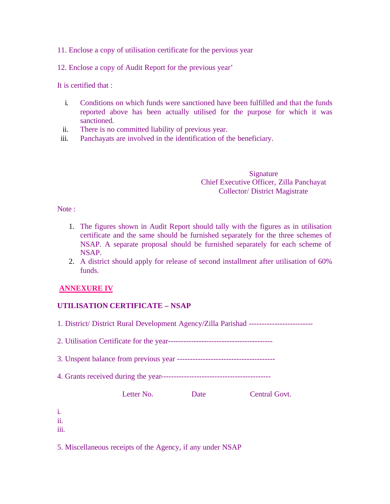11. Enclose a copy of utilisation certificate for the pervious year

12. Enclose a copy of Audit Report for the previous year'

It is certified that :

- i. Conditions on which funds were sanctioned have been fulfilled and that the funds reported above has been actually utilised for the purpose for which it was sanctioned.
- ii. There is no committed liability of previous year.
- iii. Panchayats are involved in the identification of the beneficiary.

Signature Chief Executive Officer, Zilla Panchayat Collector/ District Magistrate

Note :

- 1. The figures shown in Audit Report should tally with the figures as in utilisation certificate and the same should be furnished separately for the three schemes of NSAP. A separate proposal should be furnished separately for each scheme of NSAP.
- 2. A district should apply for release of second installment after utilisation of 60% funds.

### **ANNEXURE IV**

### **UTILISATION CERTIFICATE – NSAP**

1. District/ District Rural Development Agency/Zilla Parishad -------------------------

2. Utilisation Certificate for the year-----------------------------------------

3. Unspent balance from previous year --------------------------------------

4. Grants received during the year-------------------------------------------

Letter No. Date Central Govt.

| ×<br>۰. |  |
|---------|--|
|         |  |
| $\sim$  |  |
|         |  |
|         |  |

ii. iii.

5. Miscellaneous receipts of the Agency, if any under NSAP